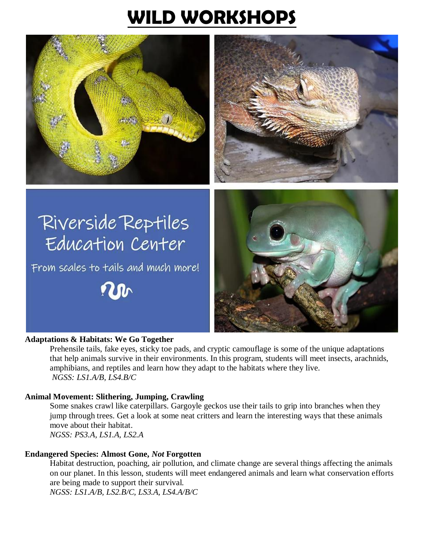# **WILD WORKSHOPS**





# Riverside Reptiles Education Center

From scales to tails and much more!





# **Adaptations & Habitats: We Go Together**

Prehensile tails, fake eyes, sticky toe pads, and cryptic camouflage is some of the unique adaptations that help animals survive in their environments. In this program, students will meet insects, arachnids, amphibians, and reptiles and learn how they adapt to the habitats where they live. *NGSS: LS1.A/B, LS4.B/C*

# **Animal Movement: Slithering, Jumping, Crawling**

Some snakes crawl like caterpillars. Gargoyle geckos use their tails to grip into branches when they jump through trees. Get a look at some neat critters and learn the interesting ways that these animals move about their habitat. *NGSS: PS3.A, LS1.A, LS2.A*

# **Endangered Species: Almost Gone,** *Not* **Forgotten**

Habitat destruction, poaching, air pollution, and climate change are several things affecting the animals on our planet. In this lesson, students will meet endangered animals and learn what conservation efforts are being made to support their survival.

*NGSS: LS1.A/B, LS2.B/C, LS3.A, LS4.A/B/C*